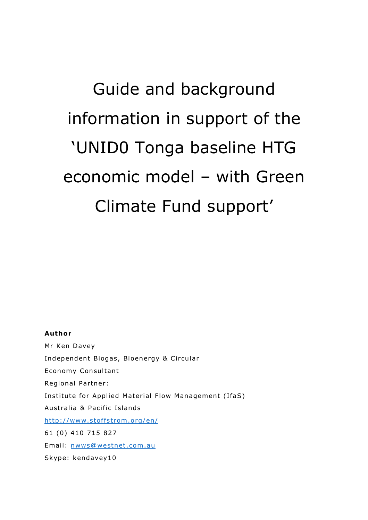# Guide and background information in support of the 'UNID0 Tonga baseline HTG economic model – with Green Climate Fund support'

#### **Author**

Mr Ken Davey Independent Biogas, Bioenergy & Circular Economy Consultant Regional Partner: Institute for Applied Material Flow Management (IfaS) Australia & Pacific Islands http://www.stoffstrom.org/en/ 61 (0) 410 715 827 Email: nwws@westnet.com.au Skype: kendavey10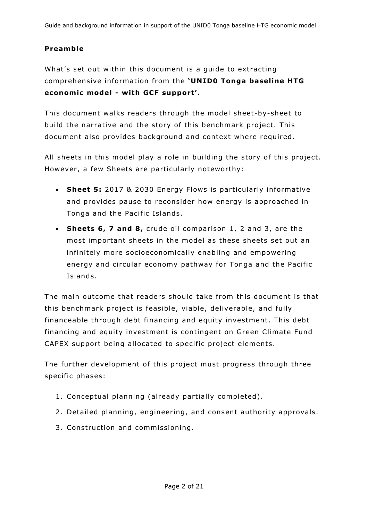## **Preamb le**

What's set out within this document is a guide to extracting comprehensive information from the **'UNIDO Tonga baseline HTG** economic model - with GCF support'.

This document walks readers through the model sheet-by-sheet to build the narrative and the story of this benchmark project. This document also provides background and context where required .

All sheets in this model play a role in building the story of this project. However, a few Sheets are particularly noteworthy:

- Sheet 5: 2017 & 2030 Energy Flows is particularly informative and provides pause to reconsider how energy is approached in Tonga and the Pacific Islands.
- **Sheets 6, 7 and 8, crude oil comparison 1, 2 and 3, are the** most important sheets in the model as these sheets set out an in finitely more socioeconomically enabling and empowering energy and circular economy pathway for Tonga and the Pacific Islands .

The main outcome that readers should take from this document is that this benchmark project is feasible, viable, deliverable, and fully financeable through debt financing and equity investment. This debt financing and equity investment is contingent on Green Climate Fund CAPEX support being allocated to specific project elements.

The further development of this project must progress through three specific phases:

- 1. Conceptual planning (already partially completed).
- 2. Detailed planning, engineering, and consent authority approvals.
- 3. Construction and commissioning.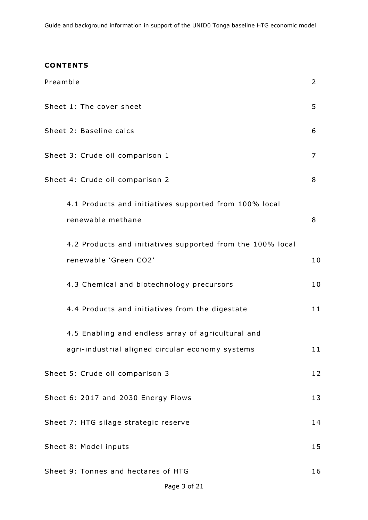## **CONTENTS**

| Preamble                                                                            | 2              |
|-------------------------------------------------------------------------------------|----------------|
| Sheet 1: The cover sheet                                                            | 5              |
| Sheet 2: Baseline calcs                                                             | 6              |
| Sheet 3: Crude oil comparison 1                                                     | $\overline{7}$ |
| Sheet 4: Crude oil comparison 2                                                     | 8              |
| 4.1 Products and initiatives supported from 100% local<br>renewable methane         | 8              |
| 4.2 Products and initiatives supported from the 100% local<br>renewable 'Green CO2' | 10             |
| 4.3 Chemical and biotechnology precursors                                           | 10             |
| 4.4 Products and initiatives from the digestate                                     | 11             |
| 4.5 Enabling and endless array of agricultural and                                  |                |
| agri-industrial aligned circular economy systems                                    | 11             |
| Sheet 5: Crude oil comparison 3                                                     | 12             |
| Sheet 6: 2017 and 2030 Energy Flows                                                 | 13             |
| Sheet 7: HTG silage strategic reserve                                               | 14             |
| Sheet 8: Model inputs                                                               | 15             |
| Sheet 9: Tonnes and hectares of HTG                                                 | 16             |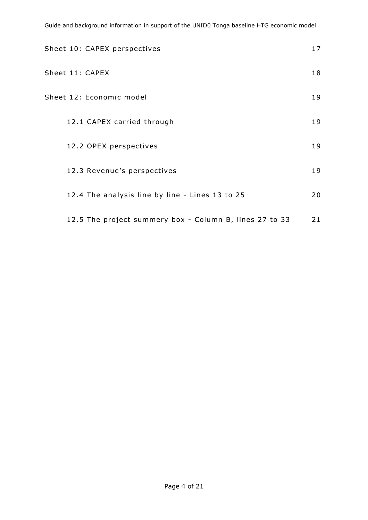Guide and background information in support of the UNID0 Tonga baseline HTG economic model

| Sheet 10: CAPEX perspectives                            | 17 |
|---------------------------------------------------------|----|
| Sheet 11: CAPEX                                         | 18 |
| Sheet 12: Economic model                                | 19 |
| 12.1 CAPEX carried through                              | 19 |
| 12.2 OPEX perspectives                                  | 19 |
| 12.3 Revenue's perspectives                             | 19 |
| 12.4 The analysis line by line - Lines 13 to 25         | 20 |
| 12.5 The project summery box - Column B, lines 27 to 33 | 21 |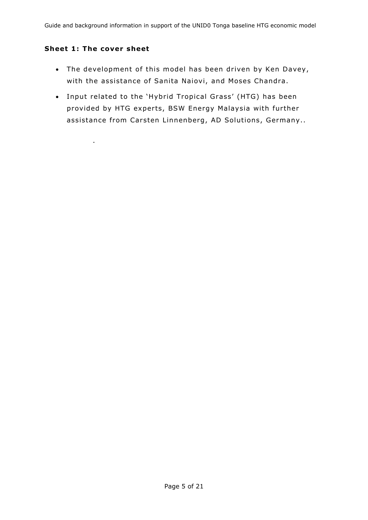#### **Sheet 1: The cover sheet**

.

- The development of this model has been driven by Ken Davey, with the assistance of Sanita Naiovi, and Moses Chandra .
- Input related to the 'Hybrid Tropical Grass' (HTG) has been provided by HTG experts, BSW Energy Malaysia with further assistance from Carsten Linnenberg, AD Solutions, Germany..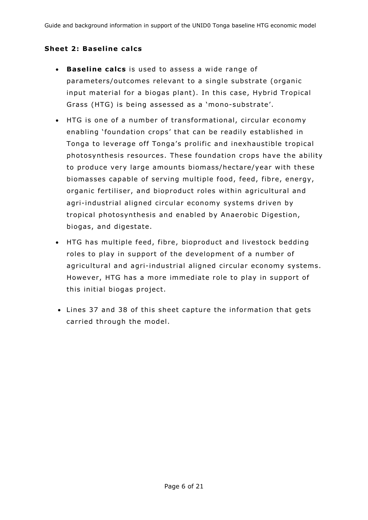### **Sheet 2: Baseline calcs**

- **Baseline calcs** is used to assess a wide range of parameters/outcomes relevant to a single substrate (organic input material for a biogas plant). In this case, Hybrid Tropical Grass (HTG) is being assessed as a 'mono-substrate'.
- HTG is one of a number of transformational, circular economy enabling 'foundation crops' that can be readily established in Tonga to leverage off Tonga's prolific and inexhaustible tropical photosynthesis resources. These foundation crops have the ability to produce very large amounts biomass/hectare/year with these biomasses capable of serving multiple food, feed, fibre, energy, organic fertiliser, and bioproduct roles within agricultural and agri-industrial aligned circular economy systems driven by tropical photosynthesis and enabled by Anaerobic Digestion, biogas, and digestate.
- HTG has multiple feed, fibre, bioproduct and livestock bedding roles to play in support of the development of a number of agricultural and agri-industrial aligned circular economy systems. However, HTG has a more immediate role to play in support of this initial biogas project.
- Lines 37 and 38 of this sheet capture the in formation that gets carried through the model.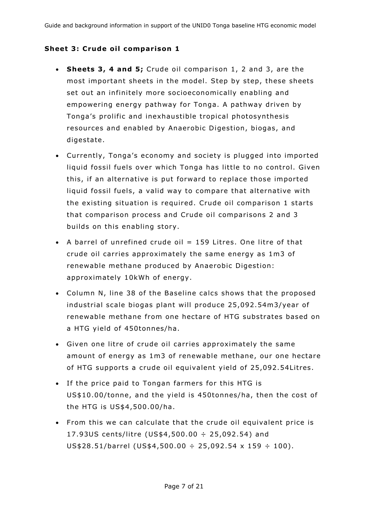#### **Sheet 3: Crude oil comparison 1**

- **Sheets 3, 4 and 5;** Crude oil comparison 1, 2 and 3, are the most important sheets in the model. Step by step, these sheets set out an infinitely more socioeconomically enabling and empowering energy pathway for Tonga . A pathway driven by Tonga's prolific and inexhaustible tropical photosynthesis resources and enabled by Anaerobic Digestion, biogas, and digestate.
- Currently, Tonga's economy and society is plugged into imported liquid fossil fuels over which Tonga has little to no control. Given this, if an alternative is put forward to replace those imported liquid fossil fuels, a valid way to compare that alternative with the existing situation is required. Crude oil comparison 1 starts that comparison process and Crude oil comparisons 2 and 3 builds on this enabling story.
- A barrel of unrefined crude oil  $= 159$  Litres. One litre of that crude oil carries approximately the same energy as 1m3 of renewable methane produced by Anaerobic Digestion: approximately 10kWh of energy.
- Column N, line 38 of the Baseline calcs shows that the proposed industrial scale biogas plant will produce 25 ,092 .54m3/year of renewable methane from one hectare of HTG substrates based on a HTG yield of 450tonnes/ha .
- Given one litre of crude oil carries approximately the same amount of energy as 1m3 of renewable methane, our one hectare of HTG supports a crude oil equivalent yield of 25,092.54Litres.
- If the price paid to Tongan farmers for this HTG is US\$10.00/tonne, and the yield is 450tonnes/ha, then the cost of the HTG is US\$4 ,500 .00/ha .
- From this we can calculate that the crude oil equivalent price is 17.93US cents/litre (US\$4,500.00  $\div$  25,092.54) and US\$28.51/barrel (US\$4,500.00 ÷ 25,092.54 x 159 ÷ 100).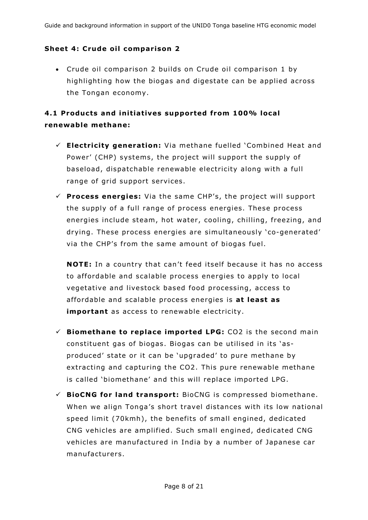#### **Sheet 4: Crude oil comparison 2**

 Crude oil comparison 2 builds on Crude oil comparison 1 by highlighting how the biogas and digestate can be applied across the Tongan economy.

## **4 .1 Products and in it iat ives supported from 100% loca l**  renewable methane:

- **E lectr ic ity generat ion:** Via methane fuelled 'Combined Heat and Power' (CHP) systems, the project will support the supply of baseload, dispatchable renewable electricity along with a full range of grid support services .
- $\checkmark$  **Process energies:** Via the same CHP's, the project will support the supply of a full range of process energies. These process energies include steam, hot water, cooling, chilling, freezing, and drying. These process energies are simultaneously 'co-generated' via the CHP's from the same amount of biogas fuel.

**NOTE:** In a country that can't feed itself because it has no access to affordable and scalable process energies to apply to local vegetative and livestock based food processing, access to affordable and scalable process energies is at least as **important** as access to renewable electricity.

- $\checkmark$  **Biomethane to replace imported LPG:** CO2 is the second main constituent gas of biogas . Biogas can be utilised in its 'asproduced' state or it can be 'upgraded' to pure methane by extracting and capturing the CO2. This pure renewable methane is called 'biomethane' and this will replace imported LPG.
- $\checkmark$  **BioCNG for land transport:** BioCNG is compressed biomethane. When we align Tonga's short travel distances with its low national speed limit (70kmh), the benefits of small engined, dedicated CNG vehicles are amplified. Such small engined, dedicated CNG vehicles are manufactured in India by a number of Japanese car manu facturers.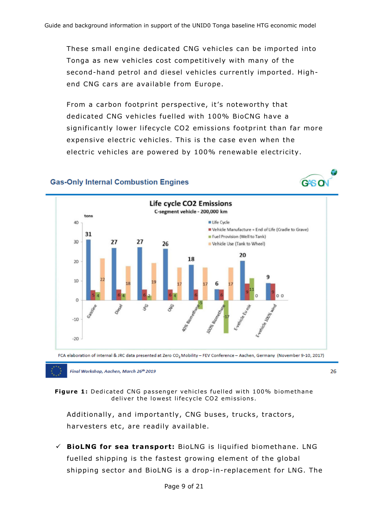These small engine dedicated CNG vehicles can be imported into Tonga as new vehicles cost competitively with many of the second-hand petrol and diesel vehicles currently imported. Highend CNG cars are available from Europe.

From a carbon footprint perspective, it's noteworthy that dedicated CNG vehicles fuelled with 100% BioCNG have a significantly lower lifecycle CO2 emissions footprint than far more expensive electric vehicles . This is the case even when the electric vehicles are powered by 100% renewable electricity.

#### **Gas-Only Internal Combustion Engines**





FCA elaboration of internal & JRC data presented at Zero CO<sub>2</sub> Mobility - FEV Conference - Aachen, Germany (November 9-10, 2017)

Final Workshop, Aachen, March 26th 2019

26

**Figure 1:** Dedicated CNG passenger vehicles fuelled with 100% biomethane deliver the lowest lifecycle CO2 emissions.

Additionally, and importantly, CNG buses, trucks, tractors, harvesters etc, are readily available.

 $\checkmark$  **BioLNG for sea transport:** BioLNG is liquified biomethane. LNG fuelled shipping is the fastest growing element of the global shipping sector and BioLNG is a drop-in-replacement for LNG. The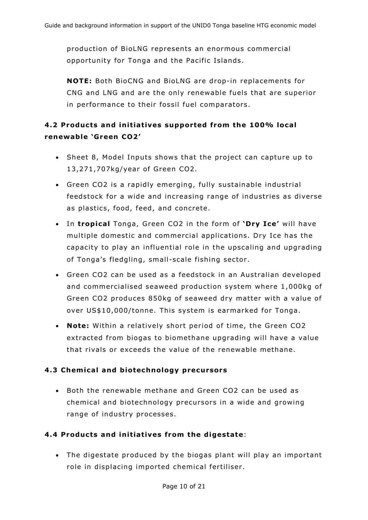production of BioLNG represents an enormous commercial opportunity for Tonga and the Pacific Islands.

**NOTE:** Both BioCNG and BioLNG are drop-in replacements for CNG and LNG and are the only renewable fuels that are superior in performance to their fossil fuel comparators.

# **4.2 Products and initiatives supported from the 100% local renewab le 'Green CO2 '**

- Sheet 8, Model Inputs shows that the project can capture up to 13 ,271 ,707kg/year of Green CO2 .
- Green CO2 is a rapidly emerging, fully sustainable industrial feedstock for a wide and increasing range of industries as diverse as plastics, food, feed, and concrete.
- In **tropical** Tonga, Green CO2 in the form of 'Dry Ice' will have multiple domestic and commercial applications . Dry Ice has the capacity to play an in fluential role in the upscaling and upgrading of Tonga's fledgling, small-scale fishing sector.
- Green CO2 can be used as a feedstock in an Australian developed and commercialised seaweed production system where 1,000kg of Green CO2 produces 850kg of seaweed dry matter with a value of over US\$10 ,000/tonne. This system is earmarked for Tonga .
- Note: Within a relatively short period of time, the Green CO2 extracted from biogas to biomethane upgrading will have a value that rivals or exceeds the value of the renewable methane.

## **4.3 Chemical and biotechnology precursors**

 Both the renewable methane and Green CO2 can be used as chemical and biotechnology precursors in a wide and growing range of industry processes .

## **4 .4 Products and in it iat ives from the d igestate**:

 The digestate produced by the biogas plant will play an important role in displacing imported chemical fertiliser.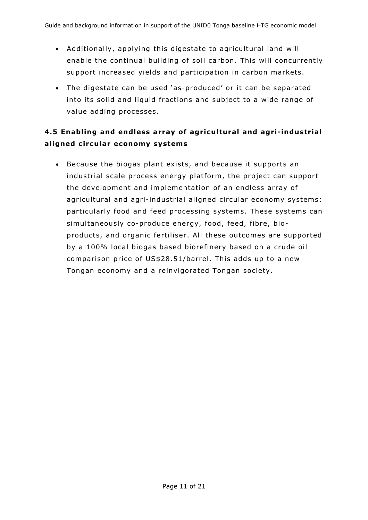- Additionally, applying this digestate to agricultural land will enable the continual building of soil carbon . This will concurrently support increased yields and participation in carbon markets.
- The digestate can be used 'as-produced' or it can be separated into its solid and liquid fractions and subject to a wide range of value adding processes .

# **4.5 Enabling and endless array of agricultural and agri-industrial a l igned c ircu lar economy systems**

• Because the biogas plant exists, and because it supports an industrial scale process energy platform, the project can support the development and implementation of an endless array of agricultural and agri-industrial aligned circular economy systems: particularly food and feed processing systems . These systems can simultaneously co-produce energy, food, feed, fibre, bioproducts, and organic fertiliser. All these outcomes are supported by a 100% local biogas based biorefinery based on a crude oil comparison price of US\$28.51/barrel. This adds up to a new Tongan economy and a reinvigorated Tongan society.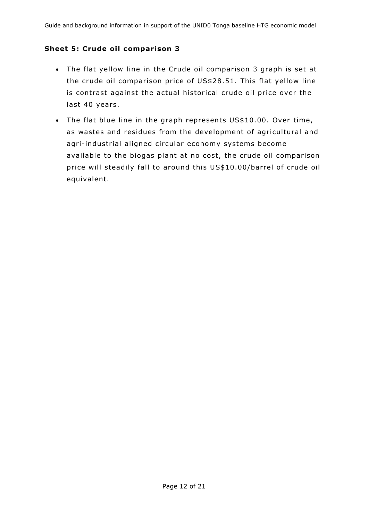#### **Sheet 5: Crude oil comparison 3**

- The flat yellow line in the Crude oil comparison 3 graph is set at the crude oil comparison price of US\$28 .51 . This flat yellow line is contrast against the actual historical crude oil price over the last 40 years.
- The flat blue line in the graph represents US\$10.00. Over time, as wastes and residues from the development of agricultural and agri-industrial aligned circular economy systems become available to the biogas plant at no cost, the crude oil comparison price will steadily fall to around this US\$10 .00/barrel of crude oil equivalent.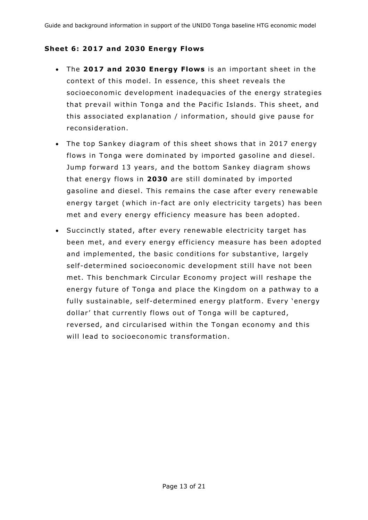#### **Sheet 6: 2017 and 2030 Energy Flows**

- The 2017 and 2030 Energy Flows is an important sheet in the context of this model. In essence, this sheet reveals the socioeconomic development inadequacies of the energy strategies that prevail within Tonga and the Pacific Islands. This sheet, and this associated explanation / in formation , should give pause for reconsideration .
- The top Sankey diagram of this sheet shows that in 2017 energy flows in Tonga were dominated by imported gasoline and diesel. Jump forward 13 years, and the bottom Sankey diagram shows that energy flows in **2030** are still dominated by imported gasoline and diesel. This remains the case after every renewable energy target (which in-fact are only electricity targets) has been met and every energy efficiency measure has been adopted.
- Succinctly stated, after every renewable electricity target has been met, and every energy efficiency measure has been adopted and implemented, the basic conditions for substantive, largely self-determined socioeconomic development still have not been met. This benchmark Circular Economy project will reshape the energy future of Tonga and place the Kingdom on a pathway to a fully sustainable, self-determined energy platform. Every 'energy dollar' that currently flows out of Tonga will be captured, reversed, and circularised within the Tongan economy and this will lead to socioeconomic transformation.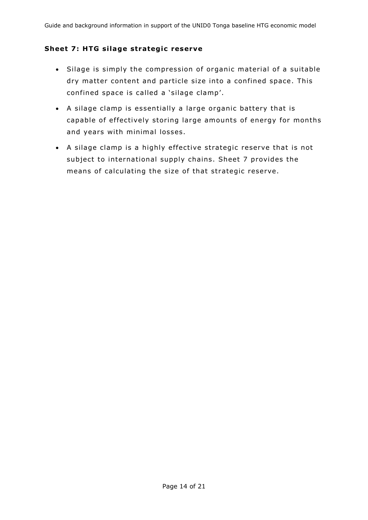#### **Sheet 7: HTG silage strategic reserve**

- Silage is simply the compression of organic material of a suitable dry matter content and particle size into a confined space. This confined space is called a 'silage clamp'.
- A silage clamp is essentially a large organic battery that is capable of effectively storing large amounts of energy for months and years with minimal losses .
- A silage clamp is a highly effective strategic reserve that is not subject to international supply chains. Sheet 7 provides the means of calculating the size of that strategic reserve.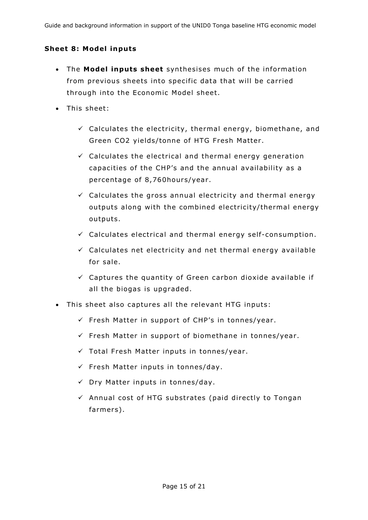#### **Sheet 8: Model inputs**

- $\bullet$  The **Model inputs sheet** synthesises much of the information from previous sheets into specific data that will be carried through into the Economic Model sheet.
- This sheet:
	- $\checkmark$  Calculates the electricity, thermal energy, biomethane, and Green CO2 yields/tonne of HTG Fresh Matter .
	- $\checkmark$  Calculates the electrical and thermal energy generation capacities of the CHP's and the annual availability as a percentage of 8,760hours/year.
	- $\checkmark$  Calculates the gross annual electricity and thermal energy outputs along with the combined electricity/thermal energy outputs .
	- $\checkmark$  Calculates electrical and thermal energy self-consumption.
	- $\checkmark$  Calculates net electricity and net thermal energy available for sale.
	- $\checkmark$  Captures the quantity of Green carbon dioxide available if all the biogas is upgraded.
- This sheet also captures all the relevant HTG inputs:
	- $\checkmark$  Fresh Matter in support of CHP's in tonnes/year.
	- $\checkmark$  Fresh Matter in support of biomethane in tonnes/year.
	- $\checkmark$  Total Fresh Matter inputs in tonnes/year.
	- $\checkmark$  Fresh Matter inputs in tonnes/day.
	- $\checkmark$  Dry Matter inputs in tonnes/day.
	- $\checkmark$  Annual cost of HTG substrates (paid directly to Tongan farmers) .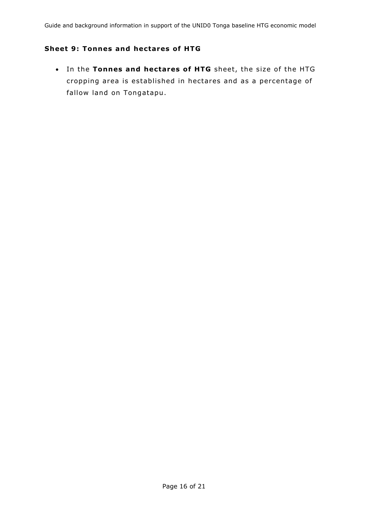#### **Sheet 9: Tonnes and hectares of HTG**

 $\cdot$  In the Tonnes and hectares of HTG sheet, the size of the HTG cropping area is established in hectares and as a percentage of fallow land on Tongatapu.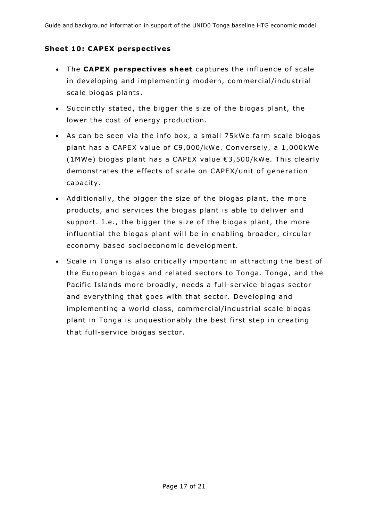#### **Sheet 10: CAPEX perspectives**

- The **CAPEX perspectives sheet** captures the influence of scale in developing and implementing modern, commercial/industrial scale biogas plants .
- Succinctly stated, the bigger the size of the biogas plant, the lower the cost of energy production.
- As can be seen via the info box, a small 75kWe farm scale biogas plant has a CAPEX value of €9,000/kWe. Conversely, a 1,000kWe (1MWe) biogas plant has a CAPEX value €3 ,500/kWe. This clearly demonstrates the effects of scale on CAPEX/unit of generation capacity.
- Additionally, the bigger the size of the biogas plant, the more products, and services the biogas plant is able to deliver and support. I.e., the bigger the size of the biogas plant, the more influential the biogas plant will be in enabling broader, circular economy based socioeconomic development.
- Scale in Tonga is also critically important in attracting the best of the European biogas and related sectors to Tonga. Tonga, and the Pacific Islands more broadly, needs a full-service biogas sector and everything that goes with that sector. Developing and implementing a world class, commercial/industrial scale biogas plant in Tonga is unquestionably the best first step in creating that full-service biogas sector .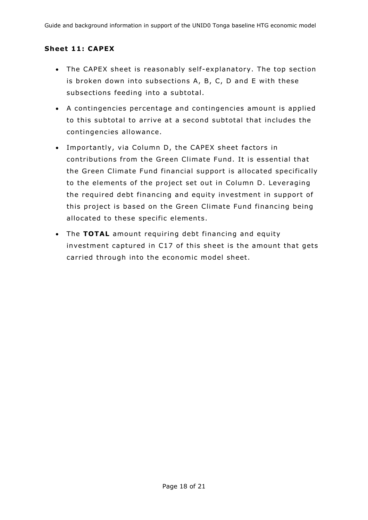#### **Sheet 11: CAPEX**

- The CAPEX sheet is reasonably self-explanatory. The top section is broken down into subsections A, B, C, D and E with these subsections feeding into a subtotal.
- A contingencies per centage and contingencies amount is applied to this subtotal to arrive at a second subtotal that includes the contingencies allowance.
- Importantly, via Column D, the CAPEX sheet factors in contributions from the Green Climate Fund . It is essential that the Green Climate Fund financial support is allocated specifically to the elements of the project set out in Column D. Leveraging the required debt financing and equity investment in support of this project is based on the Green Climate Fund financing being allocated to these specific elements.
- The **TOTAL** amount requiring debt financing and equity investment captured in C17 of this sheet is the amount that gets carried through into the economic model sheet.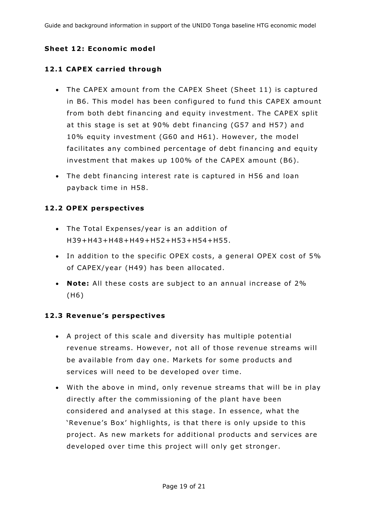### **Sheet 12: Economic model**

#### **12 .1 CAPEX carr ied through**

- The CAPEX amount from the CAPEX Sheet (Sheet 11) is captured in B6. This model has been configured to fund this CAPEX amount from both debt financing and equity investment. The CAPEX split at this stage is set at 90% debt financing (G57 and H57) and 10% equity investment (G60 and H61). However, the model facilitates any combined percentage of debt financing and equity investment that makes up 100% of the CAPEX amount (B6) .
- The debt financing interest rate is captured in H56 and loan payback time in H58 .

#### **12.2 OPEX perspectives**

- The Total Expenses/year is an addition of H39+H43+H48+H49+H52+H53+H54+H55 .
- In addition to the specific OPEX costs, a general OPEX cost of 5% of CAPEX/year (H49) has been allocated.
- Note: All these costs are subject to an annual increase of 2% (H6)

#### **12.3 Revenue's perspectives**

- A project of this scale and diversity has multiple potential revenue streams. However, not all of those revenue streams will be available from day one. Markets for some products and services will need to be developed over time.
- With the above in mind, only revenue streams that will be in play directly after the commissioning of the plant have been considered and analysed at this stage. In essence, what the 'Revenue's Box' highlights, is that there is only upside to this project. As new markets for additional products and services are developed over time this project will only get stronger.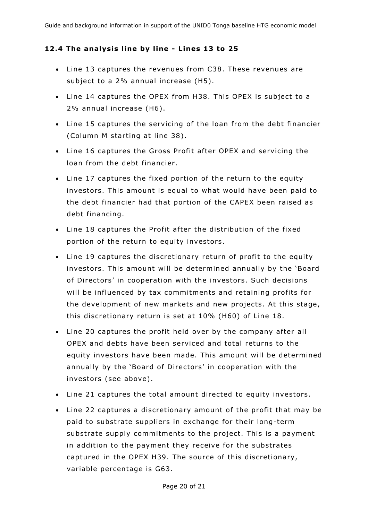#### 12.4 The analysis line by line - Lines 13 to 25

- Line 13 captures the revenues from C38 . These revenues are subject to a 2% annual increase (H5).
- Line 14 captures the OPEX from H38. This OPEX is subject to a 2% annual increase (H6) .
- Line 15 captures the servicing of the loan from the debt financier (Column M starting at line 38) .
- Line 16 captures the Gross Profit after OPEX and servicing the loan from the debt financier.
- Line 17 captures the fixed portion of the return to the equity investors . This amount is equal to what would have been paid to the debt financier had that portion of the CAPEX been raised as debt financing.
- Line 18 captures the Profit after the distribution of the fixed portion of the return to equity investors.
- Line 19 captures the discretionary return of profit to the equity investors . This amount will be determined annually by the 'Board of Directors' in cooperation with the investors . Such decisions will be influenced by tax commitments and retaining profits for the development of new markets and new projects. At this stage, this discretionary return is set at 10% (H60) of Line 18 .
- Line 20 captures the profit held over by the company after all OPEX and debts have been serviced and total returns to the equity investors have been made. This amount will be determined annually by the 'Board of Directors' in cooperation with the investors (see above).
- Line 21 captures the total amount directed to equity investors .
- Line 22 captures a discretionary amount of the profit that may be paid to substrate suppliers in exchange for their long-term substrate supply commitments to the project. This is a payment in addition to the payment they receive for the substrates captured in the OPEX H39. The source of this discretionary, variable percentage is G63 .